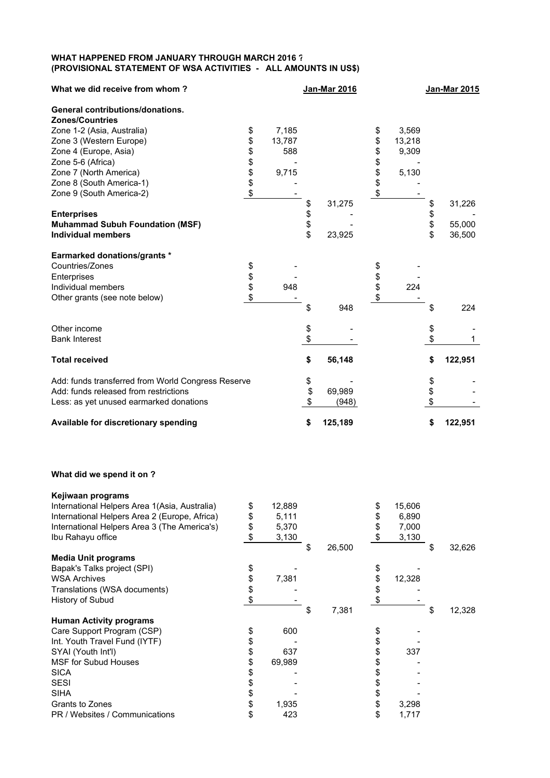## **WHAT HAPPENED FROM JANUARY THROUGH MARCH 2016 ? (PROVISIONAL STATEMENT OF WSA ACTIVITIES - ALL AMOUNTS IN US\$)**

| What we did receive from whom?                     |              | <b>Jan-Mar 2016</b> |              | <b>Jan-Mar 2015</b> |
|----------------------------------------------------|--------------|---------------------|--------------|---------------------|
| <b>General contributions/donations.</b>            |              |                     |              |                     |
| <b>Zones/Countries</b>                             |              |                     |              |                     |
| Zone 1-2 (Asia, Australia)                         | \$<br>7,185  |                     | \$<br>3,569  |                     |
| Zone 3 (Western Europe)                            | \$<br>13,787 |                     | \$<br>13,218 |                     |
| Zone 4 (Europe, Asia)                              | \$<br>588    |                     | \$<br>9,309  |                     |
| Zone 5-6 (Africa)                                  | \$           |                     | \$           |                     |
| Zone 7 (North America)                             | \$<br>9,715  |                     | \$<br>5,130  |                     |
| Zone 8 (South America-1)                           | \$           |                     | \$           |                     |
| Zone 9 (South America-2)                           | \$           |                     | \$           |                     |
|                                                    |              | \$<br>31,275        |              | \$<br>31,226        |
| <b>Enterprises</b>                                 |              | \$                  |              | \$                  |
| <b>Muhammad Subuh Foundation (MSF)</b>             |              | \$                  |              | \$<br>55,000        |
| <b>Individual members</b>                          |              | \$<br>23,925        |              | \$<br>36,500        |
| <b>Earmarked donations/grants *</b>                |              |                     |              |                     |
| Countries/Zones                                    | \$           |                     | \$           |                     |
| Enterprises                                        | \$           |                     | \$           |                     |
| Individual members                                 | \$<br>948    |                     | \$<br>224    |                     |
| Other grants (see note below)                      | \$           |                     | \$           |                     |
|                                                    |              | \$<br>948           |              | \$<br>224           |
| Other income                                       |              | \$                  |              | \$                  |
| <b>Bank Interest</b>                               |              | \$                  |              | \$<br>1             |
| <b>Total received</b>                              |              | \$<br>56,148        |              | \$<br>122,951       |
| Add: funds transferred from World Congress Reserve |              | \$                  |              | \$                  |
| Add: funds released from restrictions              |              | \$<br>69,989        |              | \$                  |
| Less: as yet unused earmarked donations            |              | \$<br>(948)         |              | \$                  |
|                                                    |              |                     |              |                     |
| Available for discretionary spending               |              | \$<br>125,189       |              | \$<br>122,951       |

## **What did we spend it on ?**

| Kejiwaan programs                             |              |              |    |        |              |
|-----------------------------------------------|--------------|--------------|----|--------|--------------|
| International Helpers Area 1(Asia, Australia) | \$<br>12,889 |              | S  | 15,606 |              |
| International Helpers Area 2 (Europe, Africa) | \$<br>5,111  |              | S  | 6,890  |              |
| International Helpers Area 3 (The America's)  | \$<br>5,370  |              |    | 7,000  |              |
| Ibu Rahayu office                             | \$<br>3,130  |              | \$ | 3,130  |              |
|                                               |              | \$<br>26,500 |    |        | \$<br>32,626 |
| <b>Media Unit programs</b>                    |              |              |    |        |              |
| Bapak's Talks project (SPI)                   | \$           |              | \$ |        |              |
| <b>WSA Archives</b>                           | \$<br>7,381  |              |    | 12,328 |              |
| Translations (WSA documents)                  |              |              |    |        |              |
| History of Subud                              |              |              |    |        |              |
|                                               |              | 7,381        |    |        | 12,328       |
| <b>Human Activity programs</b>                |              |              |    |        |              |
|                                               |              |              |    |        |              |
| Care Support Program (CSP)                    | \$<br>600    |              |    |        |              |
| Int. Youth Travel Fund (IYTF)                 |              |              | \$ |        |              |
| SYAI (Youth Int'l)                            | \$<br>637    |              | \$ | 337    |              |
| <b>MSF for Subud Houses</b>                   | \$<br>69,989 |              |    |        |              |
| <b>SICA</b>                                   |              |              |    |        |              |
| <b>SESI</b>                                   |              |              |    |        |              |
| <b>SIHA</b>                                   | \$           |              |    |        |              |
| Grants to Zones                               | \$<br>1,935  |              | \$ | 3,298  |              |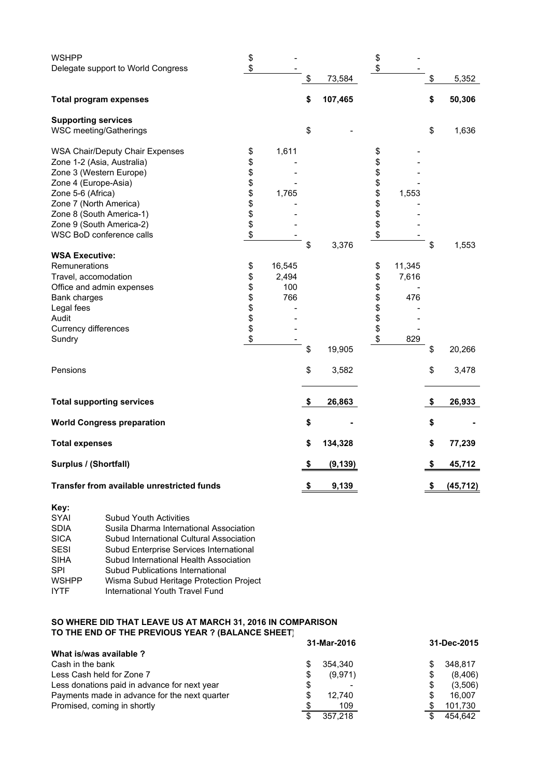| <b>WSHPP</b>                               | \$             |        |                | \$          |                 |
|--------------------------------------------|----------------|--------|----------------|-------------|-----------------|
| Delegate support to World Congress         | \$             |        |                | \$          |                 |
|                                            |                |        | \$<br>73,584   |             | \$<br>5,352     |
| <b>Total program expenses</b>              |                |        | \$<br>107,465  |             | \$<br>50,306    |
| <b>Supporting services</b>                 |                |        |                |             |                 |
| <b>WSC meeting/Gatherings</b>              |                |        | \$             |             | \$<br>1,636     |
| <b>WSA Chair/Deputy Chair Expenses</b>     | \$             | 1,611  |                | \$          |                 |
| Zone 1-2 (Asia, Australia)                 | \$             |        |                | \$          |                 |
| Zone 3 (Western Europe)                    |                |        |                | \$          |                 |
| Zone 4 (Europe-Asia)                       | <b>8888888</b> |        |                | \$          |                 |
| Zone 5-6 (Africa)                          |                | 1,765  |                | \$<br>1,553 |                 |
| Zone 7 (North America)                     |                |        |                | \$          |                 |
| Zone 8 (South America-1)                   |                |        |                | \$          |                 |
| Zone 9 (South America-2)                   |                |        |                | \$          |                 |
| WSC BoD conference calls                   |                |        |                | \$          |                 |
|                                            |                |        | \$<br>3,376    |             | \$<br>1,553     |
| <b>WSA Executive:</b>                      |                |        |                |             |                 |
|                                            |                |        |                | 11,345      |                 |
| Remunerations                              | \$             | 16,545 |                | \$          |                 |
| Travel, accomodation                       | \$             | 2,494  |                | \$<br>7,616 |                 |
| Office and admin expenses                  |                | 100    |                | \$          |                 |
| <b>Bank charges</b>                        | \$\$\$\$\$     | 766    |                | \$<br>476   |                 |
| Legal fees                                 |                |        |                | \$          |                 |
| Audit                                      |                |        |                |             |                 |
| Currency differences                       |                |        |                | \$          |                 |
| Sundry                                     | \$             |        |                | \$<br>829   |                 |
|                                            |                |        | \$<br>19,905   |             | \$<br>20,266    |
| Pensions                                   |                |        | \$<br>3,582    |             | \$<br>3,478     |
|                                            |                |        |                |             |                 |
| <b>Total supporting services</b>           |                |        | \$<br>26,863   |             | \$<br>26,933    |
| <b>World Congress preparation</b>          |                |        | \$             |             | \$              |
| <b>Total expenses</b>                      |                |        | \$<br>134,328  |             | \$<br>77,239    |
| Surplus / (Shortfall)                      |                |        | \$<br>(9, 139) |             | \$<br>45,712    |
|                                            |                |        |                |             |                 |
| Transfer from available unrestricted funds |                |        | \$<br>9,139    |             | \$<br>(45, 712) |

| Key:         |                                          |
|--------------|------------------------------------------|
| <b>SYAI</b>  | <b>Subud Youth Activities</b>            |
| <b>SDIA</b>  | Susila Dharma International Association  |
| <b>SICA</b>  | Subud International Cultural Association |
| <b>SESI</b>  | Subud Enterprise Services International  |
| <b>SIHA</b>  | Subud International Health Association   |
| <b>SPI</b>   | Subud Publications International         |
| <b>WSHPP</b> | Wisma Subud Heritage Protection Project  |
| <b>IYTF</b>  | International Youth Travel Fund          |

## **SO WHERE DID THAT LEAVE US AT MARCH 31, 2016 IN COMPARISON TO THE END OF THE PREVIOUS YEAR ? (BALANCE SHEET)**

|                                               | 31-Mar-2016   | 31-Dec-2015  |
|-----------------------------------------------|---------------|--------------|
| What is/was available ?                       |               |              |
| Cash in the bank                              | 354.340<br>S  | 348.817      |
| Less Cash held for Zone 7                     | \$<br>(9,971) | (8,406)<br>S |
| Less donations paid in advance for next year  | \$            | (3,506)      |
| Payments made in advance for the next quarter | \$<br>12.740  | 16.007       |
| Promised, coming in shortly                   | 109<br>S      | 101,730      |
|                                               | 357.218<br>\$ | 454.642      |
|                                               |               |              |